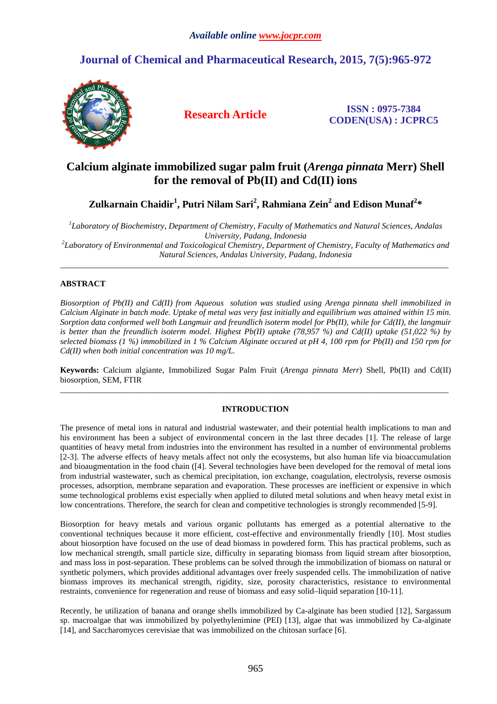# **Journal of Chemical and Pharmaceutical Research, 2015, 7(5):965-972**



**Research Article ISSN : 0975-7384 CODEN(USA) : JCPRC5**

# **Calcium alginate immobilized sugar palm fruit (***Arenga pinnata* **Merr) Shell for the removal of Pb(II) and Cd(II) ions**

**Zulkarnain Chaidir<sup>1</sup> , Putri Nilam Sari<sup>2</sup> , Rahmiana Zein<sup>2</sup> and Edison Munaf<sup>2</sup> \*** 

*1 Laboratory of Biochemistry, Department of Chemistry, Faculty of Mathematics and Natural Sciences, Andalas University, Padang, Indonesia 2 Laboratory of Environmental and Toxicological Chemistry, Department of Chemistry, Faculty of Mathematics and Natural Sciences, Andalas University, Padang, Indonesia* 

\_\_\_\_\_\_\_\_\_\_\_\_\_\_\_\_\_\_\_\_\_\_\_\_\_\_\_\_\_\_\_\_\_\_\_\_\_\_\_\_\_\_\_\_\_\_\_\_\_\_\_\_\_\_\_\_\_\_\_\_\_\_\_\_\_\_\_\_\_\_\_\_\_\_\_\_\_\_\_\_\_\_\_\_\_\_\_\_\_\_\_\_\_

# **ABSTRACT**

*Biosorption of Pb(II) and Cd(II) from Aqueous solution was studied using Arenga pinnata shell immobilized in Calcium Alginate in batch mode. Uptake of metal was very fast initially and equilibrium was attained within 15 min. Sorption data conformed well both Langmuir and freundlich isoterm model for Pb(II), while for Cd(II), the langmuir is better than the freundlich isoterm model. Highest Pb(II) uptake (78,957 %) and Cd(II) uptake (51,022 %) by selected biomass (1 %) immobilized in 1 % Calcium Alginate occured at pH 4, 100 rpm for Pb(II) and 150 rpm for Cd(II) when both initial concentration was 10 mg/L.* 

**Keywords:** Calcium algiante, Immobilized Sugar Palm Fruit (*Arenga pinnata Merr*) Shell, Pb(II) and Cd(II) biosorption, SEM, FTIR  $\overline{a}$  , and the contribution of the contribution of the contribution of the contribution of the contribution of the contribution of the contribution of the contribution of the contribution of the contribution of the co

# **INTRODUCTION**

The presence of metal ions in natural and industrial wastewater, and their potential health implications to man and his environment has been a subject of environmental concern in the last three decades [1]. The release of large quantities of heavy metal from industries into the environment has resulted in a number of environmental problems [2-3]. The adverse effects of heavy metals affect not only the ecosystems, but also human life via bioaccumulation and bioaugmentation in the food chain ([4]. Several technologies have been developed for the removal of metal ions from industrial wastewater, such as chemical precipitation, ion exchange, coagulation, electrolysis, reverse osmosis processes, adsorption, membrane separation and evaporation. These processes are inefficient or expensive in which some technological problems exist especially when applied to diluted metal solutions and when heavy metal exist in low concentrations. Therefore, the search for clean and competitive technologies is strongly recommended [5-9].

Biosorption for heavy metals and various organic pollutants has emerged as a potential alternative to the conventional techniques because it more efficient, cost-effective and environmentally friendly [10]. Most studies about biosorption have focused on the use of dead biomass in powdered form. This has practical problems, such as low mechanical strength, small particle size, difficulty in separating biomass from liquid stream after biosorption, and mass loss in post-separation. These problems can be solved through the immobilization of biomass on natural or synthetic polymers, which provides additional advantages over freely suspended cells. The immobilization of native biomass improves its mechanical strength, rigidity, size, porosity characteristics, resistance to environmental restraints, convenience for regeneration and reuse of biomass and easy solid–liquid separation [10-11].

Recently, he utilization of banana and orange shells immobilized by Ca-alginate has been studied [12], Sargassum sp. macroalgae that was immobilized by polyethylenimine (PEI) [13], algae that was immobilized by Ca-alginate [14], and Saccharomyces cerevisiae that was immobilized on the chitosan surface [6].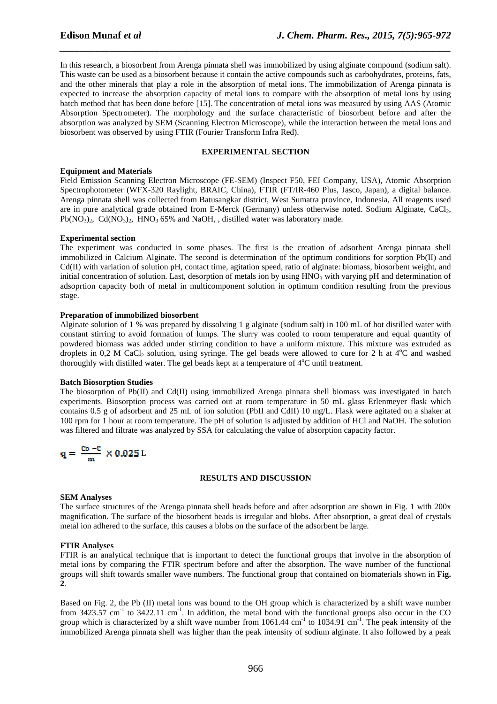In this research, a biosorbent from Arenga pinnata shell was immobilized by using alginate compound (sodium salt). This waste can be used as a biosorbent because it contain the active compounds such as carbohydrates, proteins, fats, and the other minerals that play a role in the absorption of metal ions. The immobilization of Arenga pinnata is expected to increase the absorption capacity of metal ions to compare with the absorption of metal ions by using batch method that has been done before [15]. The concentration of metal ions was measured by using AAS (Atomic Absorption Spectrometer). The morphology and the surface characteristic of biosorbent before and after the absorption was analyzed by SEM (Scanning Electron Microscope), while the interaction between the metal ions and biosorbent was observed by using FTIR (Fourier Transform Infra Red).

*\_\_\_\_\_\_\_\_\_\_\_\_\_\_\_\_\_\_\_\_\_\_\_\_\_\_\_\_\_\_\_\_\_\_\_\_\_\_\_\_\_\_\_\_\_\_\_\_\_\_\_\_\_\_\_\_\_\_\_\_\_\_\_\_\_\_\_\_\_\_\_\_\_\_\_\_\_\_*

## **EXPERIMENTAL SECTION**

#### **Equipment and Materials**

Field Emission Scanning Electron Microscope (FE-SEM) (Inspect F50, FEI Company, USA), Atomic Absorption Spectrophotometer (WFX-320 Raylight, BRAIC, China), FTIR (FT/IR-460 Plus, Jasco, Japan), a digital balance. Arenga pinnata shell was collected from Batusangkar district, West Sumatra province, Indonesia, All reagents used are in pure analytical grade obtained from E-Merck (Germany) unless otherwise noted. Sodium Alginate, CaCl2,  $Pb(NO_3)$ . Cd(NO<sub>3</sub>)<sub>2</sub>, HNO<sub>3</sub> 65% and NaOH, distilled water was laboratory made.

## **Experimental section**

The experiment was conducted in some phases. The first is the creation of adsorbent Arenga pinnata shell immobilized in Calcium Alginate. The second is determination of the optimum conditions for sorption Pb(II) and Cd(II) with variation of solution pH, contact time, agitation speed, ratio of alginate: biomass, biosorbent weight, and initial concentration of solution. Last, desorption of metals ion by using  $HNO<sub>3</sub>$  with varying pH and determination of adsoprtion capacity both of metal in multicomponent solution in optimum condition resulting from the previous stage.

### **Preparation of immobilized biosorbent**

Alginate solution of 1 % was prepared by dissolving 1 g alginate (sodium salt) in 100 mL of hot distilled water with constant stirring to avoid formation of lumps. The slurry was cooled to room temperature and equal quantity of powdered biomass was added under stirring condition to have a uniform mixture. This mixture was extruded as droplets in 0.2 M CaCl<sub>2</sub> solution, using syringe. The gel beads were allowed to cure for 2 h at  $4^{\circ}$ C and washed thoroughly with distilled water. The gel beads kept at a temperature of  $4^{\circ}$ C until treatment.

#### **Batch Biosorption Studies**

The biosorption of Pb(II) and Cd(II) using immobilized Arenga pinnata shell biomass was investigated in batch experiments. Biosorption process was carried out at room temperature in 50 mL glass Erlenmeyer flask which contains 0.5 g of adsorbent and 25 mL of ion solution (PbII and CdII) 10 mg/L. Flask were agitated on a shaker at 100 rpm for 1 hour at room temperature. The pH of solution is adjusted by addition of HCl and NaOH. The solution was filtered and filtrate was analyzed by SSA for calculating the value of absorption capacity factor.

$$
\mathbf{q} = \ \frac{Co\ -C}{m} \ \times 0.025\ \mathrm{L}
$$

## **RESULTS AND DISCUSSION**

## **SEM Analyses**

The surface structures of the Arenga pinnata shell beads before and after adsorption are shown in Fig. 1 with 200x magnification. The surface of the biosorbent beads is irregular and blobs. After absorption, a great deal of crystals metal ion adhered to the surface, this causes a blobs on the surface of the adsorbent be large.

#### **FTIR Analyses**

FTIR is an analytical technique that is important to detect the functional groups that involve in the absorption of metal ions by comparing the FTIR spectrum before and after the absorption. The wave number of the functional groups will shift towards smaller wave numbers. The functional group that contained on biomaterials shown in **Fig. 2**.

Based on Fig. 2, the Pb (II) metal ions was bound to the OH group which is characterized by a shift wave number from  $3423.57 \text{ cm}^{-1}$  to  $3422.11 \text{ cm}^{-1}$ . In addition, the metal bond with the functional groups also occur in the CO group which is characterized by a shift wave number from  $1061.44 \text{ cm}^{-1}$  to  $1034.91 \text{ cm}^{-1}$ . The peak intensity of the immobilized Arenga pinnata shell was higher than the peak intensity of sodium alginate. It also followed by a peak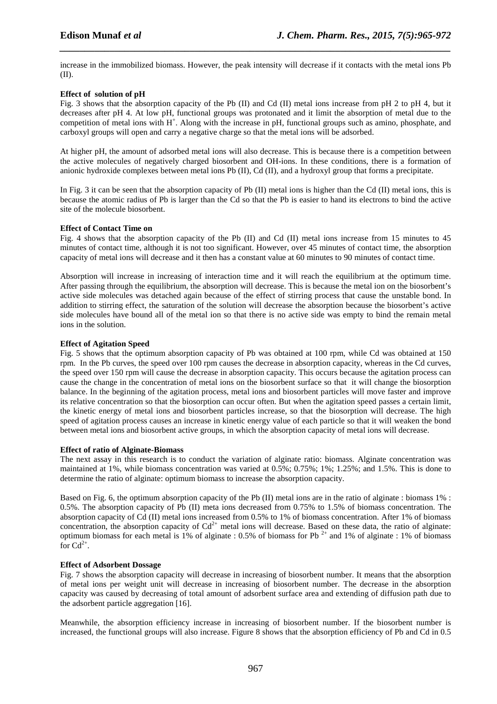increase in the immobilized biomass. However, the peak intensity will decrease if it contacts with the metal ions Pb (II).

*\_\_\_\_\_\_\_\_\_\_\_\_\_\_\_\_\_\_\_\_\_\_\_\_\_\_\_\_\_\_\_\_\_\_\_\_\_\_\_\_\_\_\_\_\_\_\_\_\_\_\_\_\_\_\_\_\_\_\_\_\_\_\_\_\_\_\_\_\_\_\_\_\_\_\_\_\_\_*

## **Effect of solution of pH**

Fig. 3 shows that the absorption capacity of the Pb (II) and Cd (II) metal ions increase from pH 2 to pH 4, but it decreases after pH 4. At low pH, functional groups was protonated and it limit the absorption of metal due to the competition of metal ions with  $H^+$ . Along with the increase in pH, functional groups such as amino, phosphate, and carboxyl groups will open and carry a negative charge so that the metal ions will be adsorbed.

At higher pH, the amount of adsorbed metal ions will also decrease. This is because there is a competition between the active molecules of negatively charged biosorbent and OH-ions. In these conditions, there is a formation of anionic hydroxide complexes between metal ions Pb (II), Cd (II), and a hydroxyl group that forms a precipitate.

In Fig. 3 it can be seen that the absorption capacity of Pb  $(II)$  metal ions is higher than the Cd  $(II)$  metal ions, this is because the atomic radius of Pb is larger than the Cd so that the Pb is easier to hand its electrons to bind the active site of the molecule biosorbent.

## **Effect of Contact Time on**

Fig. 4 shows that the absorption capacity of the Pb (II) and Cd (II) metal ions increase from 15 minutes to 45 minutes of contact time, although it is not too significant. However, over 45 minutes of contact time, the absorption capacity of metal ions will decrease and it then has a constant value at 60 minutes to 90 minutes of contact time.

Absorption will increase in increasing of interaction time and it will reach the equilibrium at the optimum time. After passing through the equilibrium, the absorption will decrease. This is because the metal ion on the biosorbent's active side molecules was detached again because of the effect of stirring process that cause the unstable bond. In addition to stirring effect, the saturation of the solution will decrease the absorption because the biosorbent's active side molecules have bound all of the metal ion so that there is no active side was empty to bind the remain metal ions in the solution.

## **Effect of Agitation Speed**

Fig. 5 shows that the optimum absorption capacity of Pb was obtained at 100 rpm, while Cd was obtained at 150 rpm. In the Pb curves, the speed over 100 rpm causes the decrease in absorption capacity, whereas in the Cd curves, the speed over 150 rpm will cause the decrease in absorption capacity. This occurs because the agitation process can cause the change in the concentration of metal ions on the biosorbent surface so that it will change the biosorption balance. In the beginning of the agitation process, metal ions and biosorbent particles will move faster and improve its relative concentration so that the biosorption can occur often. But when the agitation speed passes a certain limit, the kinetic energy of metal ions and biosorbent particles increase, so that the biosorption will decrease. The high speed of agitation process causes an increase in kinetic energy value of each particle so that it will weaken the bond between metal ions and biosorbent active groups, in which the absorption capacity of metal ions will decrease.

## **Effect of ratio of Alginate-Biomass**

The next assay in this research is to conduct the variation of alginate ratio: biomass. Alginate concentration was maintained at 1%, while biomass concentration was varied at 0.5%; 0.75%; 1%; 1.25%; and 1.5%. This is done to determine the ratio of alginate: optimum biomass to increase the absorption capacity.

Based on Fig. 6, the optimum absorption capacity of the Pb (II) metal ions are in the ratio of alginate : biomass 1% : 0.5%. The absorption capacity of Pb (II) meta ions decreased from 0.75% to 1.5% of biomass concentration. The absorption capacity of Cd (II) metal ions increased from 0.5% to 1% of biomass concentration. After 1% of biomass concentration, the absorption capacity of  $Cd^{2+}$  metal ions will decrease. Based on these data, the ratio of alginate: optimum biomass for each metal is 1% of alginate : 0.5% of biomass for Pb  $^{2+}$  and 1% of alginate : 1% of biomass for  $Cd^{2+}$ .

## **Effect of Adsorbent Dossage**

Fig. 7 shows the absorption capacity will decrease in increasing of biosorbent number. It means that the absorption of metal ions per weight unit will decrease in increasing of biosorbent number. The decrease in the absorption capacity was caused by decreasing of total amount of adsorbent surface area and extending of diffusion path due to the adsorbent particle aggregation [16].

Meanwhile, the absorption efficiency increase in increasing of biosorbent number. If the biosorbent number is increased, the functional groups will also increase. Figure 8 shows that the absorption efficiency of Pb and Cd in 0.5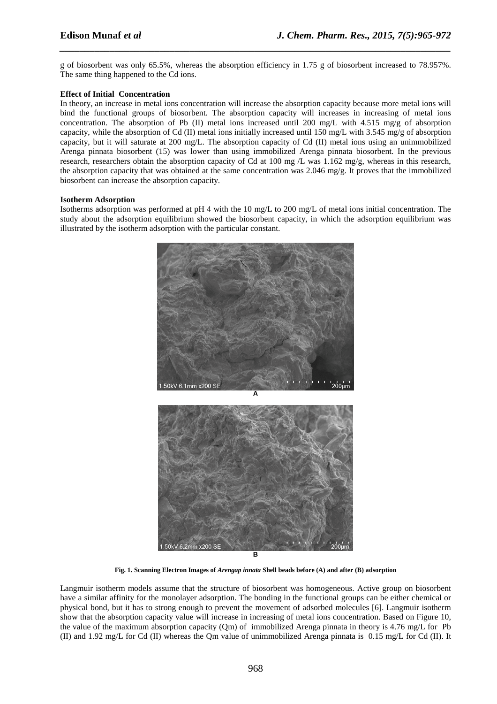g of biosorbent was only 65.5%, whereas the absorption efficiency in 1.75 g of biosorbent increased to 78.957%. The same thing happened to the Cd ions.

*\_\_\_\_\_\_\_\_\_\_\_\_\_\_\_\_\_\_\_\_\_\_\_\_\_\_\_\_\_\_\_\_\_\_\_\_\_\_\_\_\_\_\_\_\_\_\_\_\_\_\_\_\_\_\_\_\_\_\_\_\_\_\_\_\_\_\_\_\_\_\_\_\_\_\_\_\_\_*

## **Effect of Initial Concentration**

In theory, an increase in metal ions concentration will increase the absorption capacity because more metal ions will bind the functional groups of biosorbent. The absorption capacity will increases in increasing of metal ions concentration. The absorption of Pb (II) metal ions increased until 200 mg/L with 4.515 mg/g of absorption capacity, while the absorption of Cd (II) metal ions initially increased until 150 mg/L with 3.545 mg/g of absorption capacity, but it will saturate at 200 mg/L. The absorption capacity of Cd (II) metal ions using an unimmobilized Arenga pinnata biosorbent (15) was lower than using immobilized Arenga pinnata biosorbent. In the previous research, researchers obtain the absorption capacity of Cd at 100 mg  $/L$  was 1.162 mg/g, whereas in this research, the absorption capacity that was obtained at the same concentration was 2.046 mg/g. It proves that the immobilized biosorbent can increase the absorption capacity.

#### **Isotherm Adsorption**

Isotherms adsorption was performed at pH 4 with the 10 mg/L to 200 mg/L of metal ions initial concentration. The study about the adsorption equilibrium showed the biosorbent capacity, in which the adsorption equilibrium was illustrated by the isotherm adsorption with the particular constant.



**Fig. 1. Scanning Electron Images of** *Arengap innata* **Shell beads before (A) and after (B) adsorption** 

Langmuir isotherm models assume that the structure of biosorbent was homogeneous. Active group on biosorbent have a similar affinity for the monolayer adsorption. The bonding in the functional groups can be either chemical or physical bond, but it has to strong enough to prevent the movement of adsorbed molecules [6]. Langmuir isotherm show that the absorption capacity value will increase in increasing of metal ions concentration. Based on Figure 10, the value of the maximum absorption capacity (Qm) of immobilized Arenga pinnata in theory is 4.76 mg/L for Pb (II) and 1.92 mg/L for Cd (II) whereas the Qm value of unimmobilized Arenga pinnata is 0.15 mg/L for Cd (II). It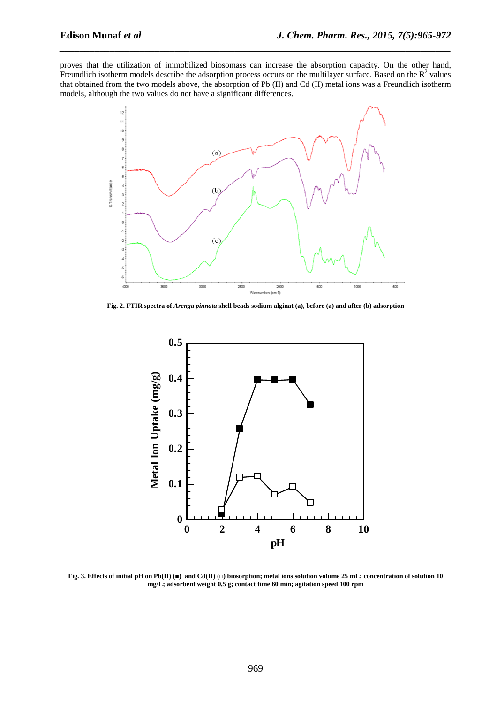proves that the utilization of immobilized biosomass can increase the absorption capacity. On the other hand, Freundlich isotherm models describe the adsorption process occurs on the multilayer surface. Based on the  $R^2$  values that obtained from the two models above, the absorption of Pb (II) and Cd (II) metal ions was a Freundlich isotherm models, although the two values do not have a significant differences.

*\_\_\_\_\_\_\_\_\_\_\_\_\_\_\_\_\_\_\_\_\_\_\_\_\_\_\_\_\_\_\_\_\_\_\_\_\_\_\_\_\_\_\_\_\_\_\_\_\_\_\_\_\_\_\_\_\_\_\_\_\_\_\_\_\_\_\_\_\_\_\_\_\_\_\_\_\_\_*



**Fig. 2. FTIR spectra of** *Arenga pinnata* **shell beads sodium alginat (a), before (a) and after (b) adsorption** 



**Fig. 3. Effects of initial pH on Pb(II) (■) and Cd(II) (□) biosorption; metal ions solution volume 25 mL; concentration of solution 10 mg/L; adsorbent weight 0,5 g; contact time 60 min; agitation speed 100 rpm**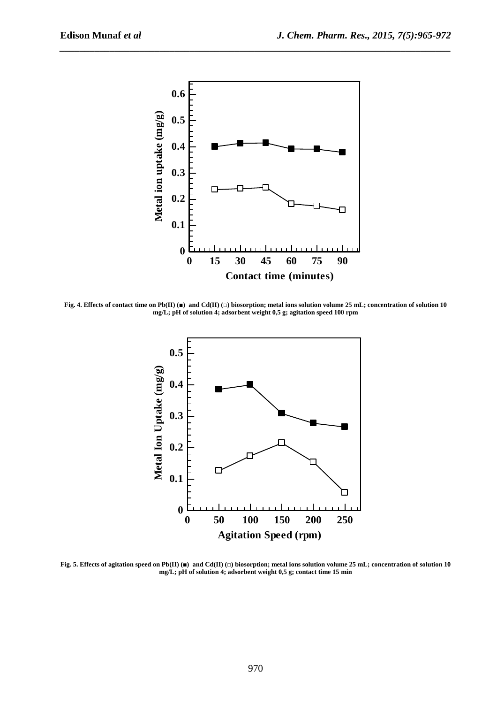

*\_\_\_\_\_\_\_\_\_\_\_\_\_\_\_\_\_\_\_\_\_\_\_\_\_\_\_\_\_\_\_\_\_\_\_\_\_\_\_\_\_\_\_\_\_\_\_\_\_\_\_\_\_\_\_\_\_\_\_\_\_\_\_\_\_\_\_\_\_\_\_\_\_\_\_\_\_\_*

**Fig. 4. Effects of contact time on Pb(II) (■) and Cd(II) (□) biosorption; metal ions solution volume 25 mL; concentration of solution 10 mg/L; pH of solution 4; adsorbent weight 0,5 g; agitation speed 100 rpm** 



**Fig. 5. Effects of agitation speed on Pb(II) (■) and Cd(II) (□) biosorption; metal ions solution volume 25 mL; concentration of solution 10 mg/L; pH of solution 4; adsorbent weight 0,5 g; contact time 15 min**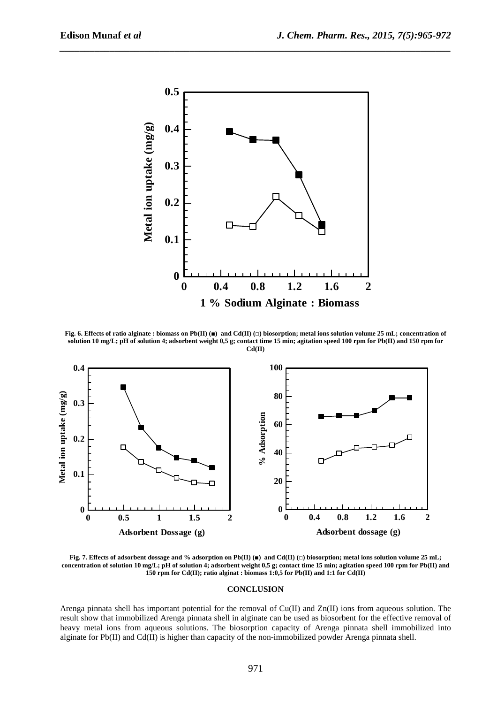

*\_\_\_\_\_\_\_\_\_\_\_\_\_\_\_\_\_\_\_\_\_\_\_\_\_\_\_\_\_\_\_\_\_\_\_\_\_\_\_\_\_\_\_\_\_\_\_\_\_\_\_\_\_\_\_\_\_\_\_\_\_\_\_\_\_\_\_\_\_\_\_\_\_\_\_\_\_\_*

**Fig. 6. Effects of ratio alginate : biomass on Pb(II) (■) and Cd(II) (□) biosorption; metal ions solution volume 25 mL; concentration of solution 10 mg/L; pH of solution 4; adsorbent weight 0,5 g; contact time 15 min; agitation speed 100 rpm for Pb(II) and 150 rpm for Cd(II)**



**Fig. 7. Effects of adsorbent dossage and % adsorption on Pb(II) (■) and Cd(II) (□) biosorption; metal ions solution volume 25 mL; concentration of solution 10 mg/L; pH of solution 4; adsorbent weight 0,5 g; contact time 15 min; agitation speed 100 rpm for Pb(II) and 150 rpm for Cd(II); ratio alginat : biomass 1:0,5 for Pb(II) and 1:1 for Cd(II)** 

#### **CONCLUSION**

Arenga pinnata shell has important potential for the removal of Cu(II) and Zn(II) ions from aqueous solution. The result show that immobilized Arenga pinnata shell in alginate can be used as biosorbent for the effective removal of heavy metal ions from aqueous solutions. The biosorption capacity of Arenga pinnata shell immobilized into alginate for  $Pb(II)$  and  $Cd(II)$  is higher than capacity of the non-immobilized powder Arenga pinnata shell.